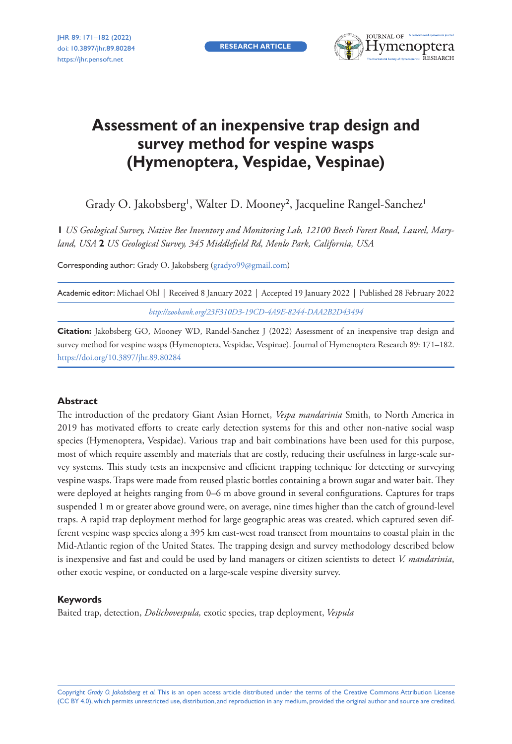**RESEARCH ARTICLE**



# **Assessment of an inexpensive trap design and survey method for vespine wasps (Hymenoptera, Vespidae, Vespinae)**

Grady O. Jakobsberg<sup>i</sup>, Walter D. Mooney<sup>2</sup>, Jacqueline Rangel-Sanchez<sup>i</sup>

**1** *US Geological Survey, Native Bee Inventory and Monitoring Lab, 12100 Beech Forest Road, Laurel, Maryland, USA* **2** *US Geological Survey, 345 Middlefield Rd, Menlo Park, California, USA*

Corresponding author: Grady O. Jakobsberg [\(gradyo99@gmail.com\)](mailto:gradyo99@gmail.com)

|                                                         |  |  | Academic editor: Michael Ohl   Received 8 January 2022   Accepted 19 January 2022   Published 28 February 2022 |  |  |  |  |
|---------------------------------------------------------|--|--|----------------------------------------------------------------------------------------------------------------|--|--|--|--|
| http://zoobank.org/23F310D3-19CD-4A9E-8244-DAA2B2D43494 |  |  |                                                                                                                |  |  |  |  |

**Citation:** Jakobsberg GO, Mooney WD, Randel-Sanchez J (2022) Assessment of an inexpensive trap design and survey method for vespine wasps (Hymenoptera, Vespidae, Vespinae). Journal of Hymenoptera Research 89: 171–182. <https://doi.org/10.3897/jhr.89.80284>

#### **Abstract**

The introduction of the predatory Giant Asian Hornet, *Vespa mandarinia* Smith, to North America in 2019 has motivated efforts to create early detection systems for this and other non-native social wasp species (Hymenoptera, Vespidae). Various trap and bait combinations have been used for this purpose, most of which require assembly and materials that are costly, reducing their usefulness in large-scale survey systems. This study tests an inexpensive and efficient trapping technique for detecting or surveying vespine wasps. Traps were made from reused plastic bottles containing a brown sugar and water bait. They were deployed at heights ranging from 0–6 m above ground in several configurations. Captures for traps suspended 1 m or greater above ground were, on average, nine times higher than the catch of ground-level traps. A rapid trap deployment method for large geographic areas was created, which captured seven different vespine wasp species along a 395 km east-west road transect from mountains to coastal plain in the Mid-Atlantic region of the United States. The trapping design and survey methodology described below is inexpensive and fast and could be used by land managers or citizen scientists to detect *V. mandarinia*, other exotic vespine, or conducted on a large-scale vespine diversity survey.

#### **Keywords**

Baited trap, detection, *Dolichovespula,* exotic species, trap deployment, *Vespula*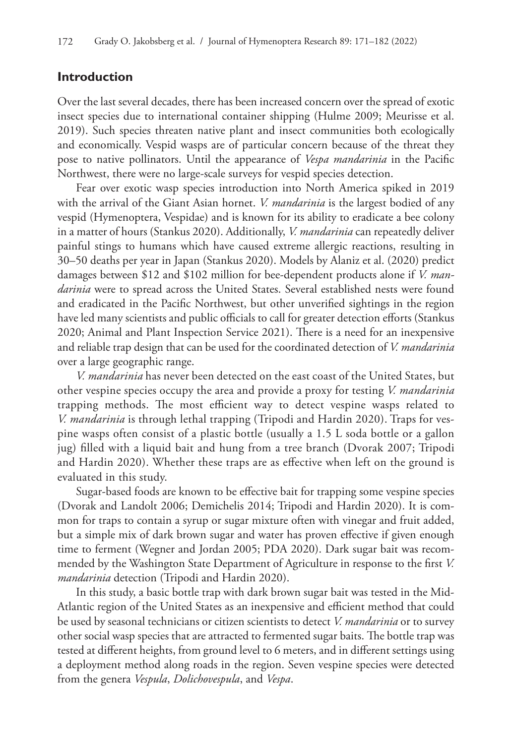#### **Introduction**

Over the last several decades, there has been increased concern over the spread of exotic insect species due to international container shipping (Hulme 2009; Meurisse et al. 2019). Such species threaten native plant and insect communities both ecologically and economically. Vespid wasps are of particular concern because of the threat they pose to native pollinators. Until the appearance of *Vespa mandarinia* in the Pacific Northwest, there were no large-scale surveys for vespid species detection.

Fear over exotic wasp species introduction into North America spiked in 2019 with the arrival of the Giant Asian hornet. *V. mandarinia* is the largest bodied of any vespid (Hymenoptera, Vespidae) and is known for its ability to eradicate a bee colony in a matter of hours (Stankus 2020). Additionally, *V. mandarinia* can repeatedly deliver painful stings to humans which have caused extreme allergic reactions, resulting in 30–50 deaths per year in Japan (Stankus 2020). Models by Alaniz et al. (2020) predict damages between \$12 and \$102 million for bee-dependent products alone if *V. mandarinia* were to spread across the United States. Several established nests were found and eradicated in the Pacific Northwest, but other unverified sightings in the region have led many scientists and public officials to call for greater detection efforts (Stankus 2020; Animal and Plant Inspection Service 2021). There is a need for an inexpensive and reliable trap design that can be used for the coordinated detection of *V. mandarinia*  over a large geographic range.

*V. mandarinia* has never been detected on the east coast of the United States, but other vespine species occupy the area and provide a proxy for testing *V. mandarinia*  trapping methods. The most efficient way to detect vespine wasps related to *V. mandarinia* is through lethal trapping (Tripodi and Hardin 2020). Traps for vespine wasps often consist of a plastic bottle (usually a 1.5 L soda bottle or a gallon jug) filled with a liquid bait and hung from a tree branch (Dvorak 2007; Tripodi and Hardin 2020). Whether these traps are as effective when left on the ground is evaluated in this study.

Sugar-based foods are known to be effective bait for trapping some vespine species (Dvorak and Landolt 2006; Demichelis 2014; Tripodi and Hardin 2020). It is common for traps to contain a syrup or sugar mixture often with vinegar and fruit added, but a simple mix of dark brown sugar and water has proven effective if given enough time to ferment (Wegner and Jordan 2005; PDA 2020). Dark sugar bait was recommended by the Washington State Department of Agriculture in response to the first *V. mandarinia* detection (Tripodi and Hardin 2020).

In this study, a basic bottle trap with dark brown sugar bait was tested in the Mid-Atlantic region of the United States as an inexpensive and efficient method that could be used by seasonal technicians or citizen scientists to detect *V. mandarinia* or to survey other social wasp species that are attracted to fermented sugar baits. The bottle trap was tested at different heights, from ground level to 6 meters, and in different settings using a deployment method along roads in the region. Seven vespine species were detected from the genera *Vespula*, *Dolichovespula*, and *Vespa*.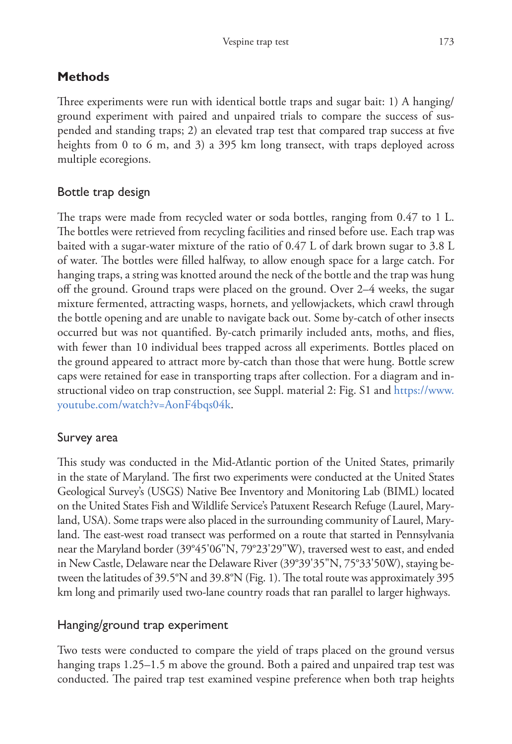# **Methods**

Three experiments were run with identical bottle traps and sugar bait: 1) A hanging/ ground experiment with paired and unpaired trials to compare the success of suspended and standing traps; 2) an elevated trap test that compared trap success at five heights from 0 to 6 m, and 3) a 395 km long transect, with traps deployed across multiple ecoregions.

# Bottle trap design

The traps were made from recycled water or soda bottles, ranging from 0.47 to 1 L. The bottles were retrieved from recycling facilities and rinsed before use. Each trap was baited with a sugar-water mixture of the ratio of 0.47 L of dark brown sugar to 3.8 L of water. The bottles were filled halfway, to allow enough space for a large catch. For hanging traps, a string was knotted around the neck of the bottle and the trap was hung off the ground. Ground traps were placed on the ground. Over 2–4 weeks, the sugar mixture fermented, attracting wasps, hornets, and yellowjackets, which crawl through the bottle opening and are unable to navigate back out. Some by-catch of other insects occurred but was not quantified. By-catch primarily included ants, moths, and flies, with fewer than 10 individual bees trapped across all experiments. Bottles placed on the ground appeared to attract more by-catch than those that were hung. Bottle screw caps were retained for ease in transporting traps after collection. For a diagram and instructional video on trap construction, see Suppl. material 2: Fig. S1 and [https://www.](https://www.youtube.com/watch?v=AonF4bqs04k) [youtube.com/watch?v=AonF4bqs04k.](https://www.youtube.com/watch?v=AonF4bqs04k)

# Survey area

This study was conducted in the Mid-Atlantic portion of the United States, primarily in the state of Maryland. The first two experiments were conducted at the United States Geological Survey's (USGS) Native Bee Inventory and Monitoring Lab (BIML) located on the United States Fish and Wildlife Service's Patuxent Research Refuge (Laurel, Maryland, USA). Some traps were also placed in the surrounding community of Laurel, Maryland. The east-west road transect was performed on a route that started in Pennsylvania near the Maryland border (39°45'06"N, 79°23'29"W), traversed west to east, and ended in New Castle, Delaware near the Delaware River (39°39'35"N, 75°33'50W), staying between the latitudes of 39.5°N and 39.8°N (Fig. 1). The total route was approximately 395 km long and primarily used two-lane country roads that ran parallel to larger highways.

# Hanging/ground trap experiment

Two tests were conducted to compare the yield of traps placed on the ground versus hanging traps 1.25–1.5 m above the ground. Both a paired and unpaired trap test was conducted. The paired trap test examined vespine preference when both trap heights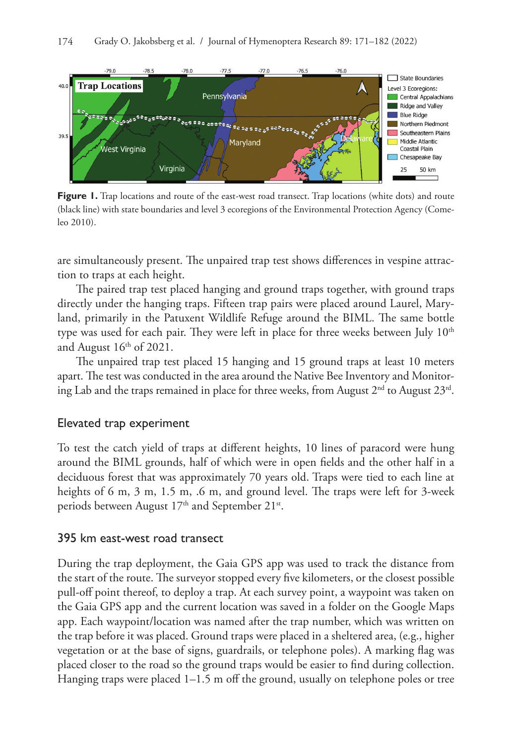

Figure 1. Trap locations and route of the east-west road transect. Trap locations (white dots) and route (black line) with state boundaries and level 3 ecoregions of the Environmental Protection Agency (Comeleo 2010).

are simultaneously present. The unpaired trap test shows differences in vespine attraction to traps at each height.

The paired trap test placed hanging and ground traps together, with ground traps directly under the hanging traps. Fifteen trap pairs were placed around Laurel, Maryland, primarily in the Patuxent Wildlife Refuge around the BIML. The same bottle type was used for each pair. They were left in place for three weeks between July  $10<sup>th</sup>$ and August  $16<sup>th</sup>$  of 2021.

The unpaired trap test placed 15 hanging and 15 ground traps at least 10 meters apart. The test was conducted in the area around the Native Bee Inventory and Monitoring Lab and the traps remained in place for three weeks, from August  $2<sup>nd</sup>$  to August  $23<sup>rd</sup>$ .

### Elevated trap experiment

To test the catch yield of traps at different heights, 10 lines of paracord were hung around the BIML grounds, half of which were in open fields and the other half in a deciduous forest that was approximately 70 years old. Traps were tied to each line at heights of 6 m, 3 m, 1.5 m, .6 m, and ground level. The traps were left for 3-week periods between August 17<sup>th</sup> and September 21<sup>st</sup>.

### 395 km east-west road transect

During the trap deployment, the Gaia GPS app was used to track the distance from the start of the route. The surveyor stopped every five kilometers, or the closest possible pull-off point thereof, to deploy a trap. At each survey point, a waypoint was taken on the Gaia GPS app and the current location was saved in a folder on the Google Maps app. Each waypoint/location was named after the trap number, which was written on the trap before it was placed. Ground traps were placed in a sheltered area, (e.g., higher vegetation or at the base of signs, guardrails, or telephone poles). A marking flag was placed closer to the road so the ground traps would be easier to find during collection. Hanging traps were placed 1–1.5 m off the ground, usually on telephone poles or tree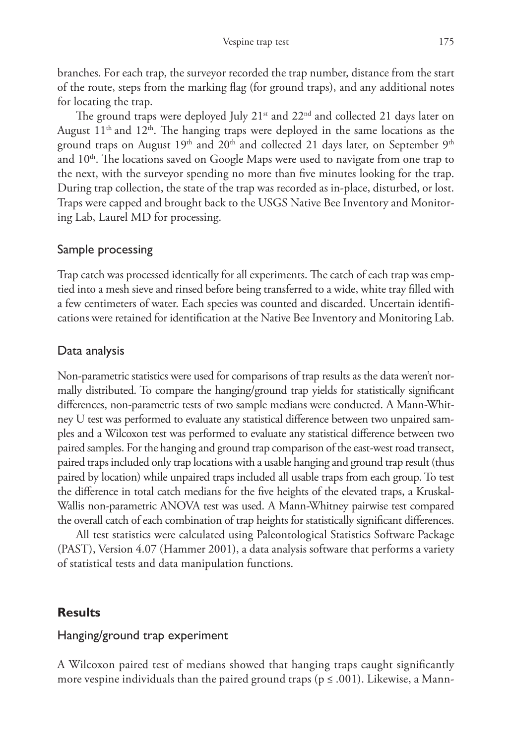branches. For each trap, the surveyor recorded the trap number, distance from the start of the route, steps from the marking flag (for ground traps), and any additional notes for locating the trap.

The ground traps were deployed July  $21<sup>st</sup>$  and  $22<sup>nd</sup>$  and collected 21 days later on August  $11<sup>th</sup>$  and  $12<sup>th</sup>$ . The hanging traps were deployed in the same locations as the ground traps on August 19<sup>th</sup> and 20<sup>th</sup> and collected 21 days later, on September 9<sup>th</sup> and  $10<sup>th</sup>$ . The locations saved on Google Maps were used to navigate from one trap to the next, with the surveyor spending no more than five minutes looking for the trap. During trap collection, the state of the trap was recorded as in-place, disturbed, or lost. Traps were capped and brought back to the USGS Native Bee Inventory and Monitoring Lab, Laurel MD for processing.

### Sample processing

Trap catch was processed identically for all experiments. The catch of each trap was emptied into a mesh sieve and rinsed before being transferred to a wide, white tray filled with a few centimeters of water. Each species was counted and discarded. Uncertain identifications were retained for identification at the Native Bee Inventory and Monitoring Lab.

### Data analysis

Non-parametric statistics were used for comparisons of trap results as the data weren't normally distributed. To compare the hanging/ground trap yields for statistically significant differences, non-parametric tests of two sample medians were conducted. A Mann-Whitney U test was performed to evaluate any statistical difference between two unpaired samples and a Wilcoxon test was performed to evaluate any statistical difference between two paired samples. For the hanging and ground trap comparison of the east-west road transect, paired traps included only trap locations with a usable hanging and ground trap result (thus paired by location) while unpaired traps included all usable traps from each group. To test the difference in total catch medians for the five heights of the elevated traps, a Kruskal-Wallis non-parametric ANOVA test was used. A Mann-Whitney pairwise test compared the overall catch of each combination of trap heights for statistically significant differences.

All test statistics were calculated using Paleontological Statistics Software Package (PAST), Version 4.07 (Hammer 2001), a data analysis software that performs a variety of statistical tests and data manipulation functions.

# **Results**

### Hanging/ground trap experiment

A Wilcoxon paired test of medians showed that hanging traps caught significantly more vespine individuals than the paired ground traps ( $p \leq .001$ ). Likewise, a Mann-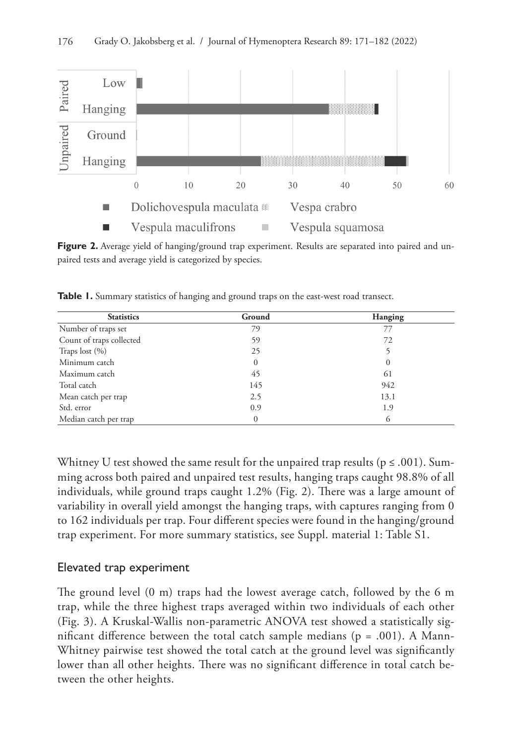

**Figure 2.** Average yield of hanging/ground trap experiment. Results are separated into paired and unpaired tests and average yield is categorized by species.

| <b>Statistics</b>        | Ground   | Hanging  |  |  |
|--------------------------|----------|----------|--|--|
| Number of traps set      | 79       | 77       |  |  |
| Count of traps collected | 59       | 72       |  |  |
| Traps lost $(\% )$       | 25       |          |  |  |
| Minimum catch            | $\Omega$ | $\theta$ |  |  |
| Maximum catch            | 45       | 61       |  |  |
| Total catch              | 145      | 942      |  |  |
| Mean catch per trap      | 2.5      | 13.1     |  |  |
| Std. error               | 0.9      | 1.9      |  |  |
| Median catch per trap    |          | 6        |  |  |

Table 1. Summary statistics of hanging and ground traps on the east-west road transect.

Whitney U test showed the same result for the unpaired trap results ( $p \le 0.001$ ). Summing across both paired and unpaired test results, hanging traps caught 98.8% of all individuals, while ground traps caught 1.2% (Fig. 2). There was a large amount of variability in overall yield amongst the hanging traps, with captures ranging from 0 to 162 individuals per trap. Four different species were found in the hanging/ground trap experiment. For more summary statistics, see Suppl. material 1: Table S1.

### Elevated trap experiment

The ground level (0 m) traps had the lowest average catch, followed by the 6 m trap, while the three highest traps averaged within two individuals of each other (Fig. 3). A Kruskal-Wallis non-parametric ANOVA test showed a statistically significant difference between the total catch sample medians ( $p = .001$ ). A Mann-Whitney pairwise test showed the total catch at the ground level was significantly lower than all other heights. There was no significant difference in total catch between the other heights.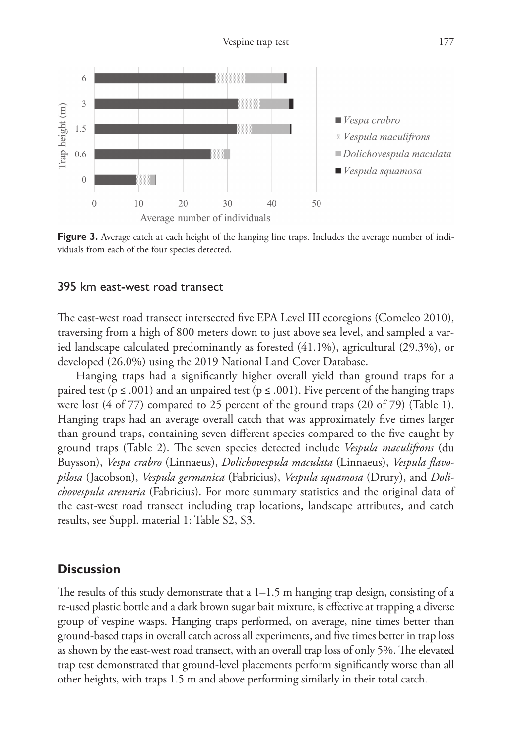

**Figure 3.** Average catch at each height of the hanging line traps. Includes the average number of individuals from each of the four species detected.

#### 395 km east-west road transect

The east-west road transect intersected five EPA Level III ecoregions (Comeleo 2010), traversing from a high of 800 meters down to just above sea level, and sampled a varied landscape calculated predominantly as forested (41.1%), agricultural (29.3%), or developed (26.0%) using the 2019 National Land Cover Database.

Hanging traps had a significantly higher overall yield than ground traps for a paired test ( $p \le .001$ ) and an unpaired test ( $p \le .001$ ). Five percent of the hanging traps were lost (4 of 77) compared to 25 percent of the ground traps (20 of 79) (Table 1). Hanging traps had an average overall catch that was approximately five times larger than ground traps, containing seven different species compared to the five caught by ground traps (Table 2). The seven species detected include *Vespula maculifrons* (du Buysson), *Vespa crabro* (Linnaeus), *Dolichovespula maculata* (Linnaeus), *Vespula flavopilosa* (Jacobson), *Vespula germanica* (Fabricius), *Vespula squamosa* (Drury), and *Dolichovespula arenaria* (Fabricius). For more summary statistics and the original data of the east-west road transect including trap locations, landscape attributes, and catch results, see Suppl. material 1: Table S2, S3.

#### **Discussion**

The results of this study demonstrate that a  $1-1.5$  m hanging trap design, consisting of a re-used plastic bottle and a dark brown sugar bait mixture, is effective at trapping a diverse group of vespine wasps. Hanging traps performed, on average, nine times better than ground-based traps in overall catch across all experiments, and five times better in trap loss as shown by the east-west road transect, with an overall trap loss of only 5%. The elevated trap test demonstrated that ground-level placements perform significantly worse than all other heights, with traps 1.5 m and above performing similarly in their total catch.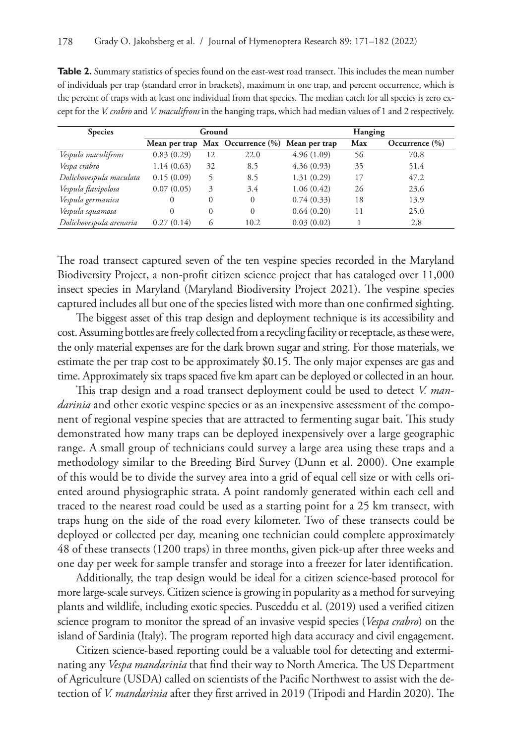| <b>Species</b>          | Ground     |          |                                                | Hanging    |     |                    |
|-------------------------|------------|----------|------------------------------------------------|------------|-----|--------------------|
|                         |            |          | Mean per trap Max Occurrence (%) Mean per trap |            | Max | Occurrence $(\% )$ |
| Vespula maculifrons     | 0.83(0.29) | 12       | 22.0                                           | 4.96(1.09) | 56  | 70.8               |
| Vespa crabro            | 1.14(0.63) | 32       | 8.5                                            | 4.36(0.93) | 35  | 51.4               |
| Dolichovespula maculata | 0.15(0.09) |          | 8.5                                            | 1.31(0.29) | 17  | 47.2               |
| Vespula flavipolosa     | 0.07(0.05) | 3        | 3.4                                            | 1.06(0.42) | 26  | 23.6               |
| Vespula germanica       | $\Omega$   | $\Omega$ | $\Omega$                                       | 0.74(0.33) | 18  | 13.9               |
| Vespula squamosa        | 0          | $\Omega$ | $\Omega$                                       | 0.64(0.20) | 11  | 25.0               |
| Dolichovespula arenaria | 0.27(0.14) | $^{(1)}$ | 10.2                                           | 0.03(0.02) |     | 2.8                |

**Table 2.** Summary statistics of species found on the east-west road transect. This includes the mean number of individuals per trap (standard error in brackets), maximum in one trap, and percent occurrence, which is the percent of traps with at least one individual from that species. The median catch for all species is zero except for the *V. crabro* and *V. maculifrons* in the hanging traps, which had median values of 1 and 2 respectively.

The road transect captured seven of the ten vespine species recorded in the Maryland Biodiversity Project, a non-profit citizen science project that has cataloged over 11,000 insect species in Maryland (Maryland Biodiversity Project 2021). The vespine species captured includes all but one of the species listed with more than one confirmed sighting.

The biggest asset of this trap design and deployment technique is its accessibility and cost. Assuming bottles are freely collected from a recycling facility or receptacle, as these were, the only material expenses are for the dark brown sugar and string. For those materials, we estimate the per trap cost to be approximately \$0.15. The only major expenses are gas and time. Approximately six traps spaced five km apart can be deployed or collected in an hour.

This trap design and a road transect deployment could be used to detect *V. mandarinia* and other exotic vespine species or as an inexpensive assessment of the component of regional vespine species that are attracted to fermenting sugar bait. This study demonstrated how many traps can be deployed inexpensively over a large geographic range. A small group of technicians could survey a large area using these traps and a methodology similar to the Breeding Bird Survey (Dunn et al. 2000). One example of this would be to divide the survey area into a grid of equal cell size or with cells oriented around physiographic strata. A point randomly generated within each cell and traced to the nearest road could be used as a starting point for a 25 km transect, with traps hung on the side of the road every kilometer. Two of these transects could be deployed or collected per day, meaning one technician could complete approximately 48 of these transects (1200 traps) in three months, given pick-up after three weeks and one day per week for sample transfer and storage into a freezer for later identification.

Additionally, the trap design would be ideal for a citizen science-based protocol for more large-scale surveys. Citizen science is growing in popularity as a method for surveying plants and wildlife, including exotic species. Pusceddu et al. (2019) used a verified citizen science program to monitor the spread of an invasive vespid species (*Vespa crabro*) on the island of Sardinia (Italy). The program reported high data accuracy and civil engagement.

Citizen science-based reporting could be a valuable tool for detecting and exterminating any *Vespa mandarinia* that find their way to North America. The US Department of Agriculture (USDA) called on scientists of the Pacific Northwest to assist with the detection of *V. mandarinia* after they first arrived in 2019 (Tripodi and Hardin 2020). The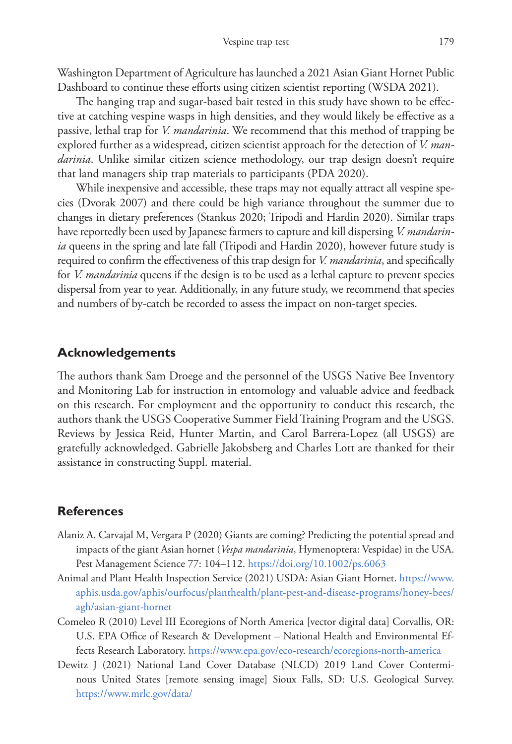Washington Department of Agriculture has launched a 2021 Asian Giant Hornet Public Dashboard to continue these efforts using citizen scientist reporting (WSDA 2021).

The hanging trap and sugar-based bait tested in this study have shown to be effective at catching vespine wasps in high densities, and they would likely be effective as a passive, lethal trap for *V. mandarinia*. We recommend that this method of trapping be explored further as a widespread, citizen scientist approach for the detection of *V. mandarinia*. Unlike similar citizen science methodology, our trap design doesn't require that land managers ship trap materials to participants (PDA 2020).

While inexpensive and accessible, these traps may not equally attract all vespine species (Dvorak 2007) and there could be high variance throughout the summer due to changes in dietary preferences (Stankus 2020; Tripodi and Hardin 2020). Similar traps have reportedly been used by Japanese farmers to capture and kill dispersing *V. mandarinia* queens in the spring and late fall (Tripodi and Hardin 2020), however future study is required to confirm the effectiveness of this trap design for *V. mandarinia*, and specifically for *V. mandarinia* queens if the design is to be used as a lethal capture to prevent species dispersal from year to year. Additionally, in any future study, we recommend that species and numbers of by-catch be recorded to assess the impact on non-target species.

### **Acknowledgements**

The authors thank Sam Droege and the personnel of the USGS Native Bee Inventory and Monitoring Lab for instruction in entomology and valuable advice and feedback on this research. For employment and the opportunity to conduct this research, the authors thank the USGS Cooperative Summer Field Training Program and the USGS. Reviews by Jessica Reid, Hunter Martin, and Carol Barrera-Lopez (all USGS) are gratefully acknowledged. Gabrielle Jakobsberg and Charles Lott are thanked for their assistance in constructing Suppl. material.

### **References**

- Alaniz A, Carvajal M, Vergara P (2020) Giants are coming? Predicting the potential spread and impacts of the giant Asian hornet (*Vespa mandarinia*, Hymenoptera: Vespidae) in the USA. Pest Management Science 77: 104–112. <https://doi.org/10.1002/ps.6063>
- Animal and Plant Health Inspection Service (2021) USDA: Asian Giant Hornet. [https://www.](https://www.aphis.usda.gov/aphis/ourfocus/planthealth/plant-pest-and-disease-programs/honey-bees/agh/asian-giant-hornet) [aphis.usda.gov/aphis/ourfocus/planthealth/plant-pest-and-disease-programs/honey-bees/](https://www.aphis.usda.gov/aphis/ourfocus/planthealth/plant-pest-and-disease-programs/honey-bees/agh/asian-giant-hornet) [agh/asian-giant-hornet](https://www.aphis.usda.gov/aphis/ourfocus/planthealth/plant-pest-and-disease-programs/honey-bees/agh/asian-giant-hornet)
- Comeleo R (2010) Level III Ecoregions of North America [vector digital data] Corvallis, OR: U.S. EPA Office of Research & Development – National Health and Environmental Effects Research Laboratory.<https://www.epa.gov/eco-research/ecoregions-north-america>
- Dewitz J (2021) National Land Cover Database (NLCD) 2019 Land Cover Conterminous United States [remote sensing image] Sioux Falls, SD: U.S. Geological Survey. <https://www.mrlc.gov/data/>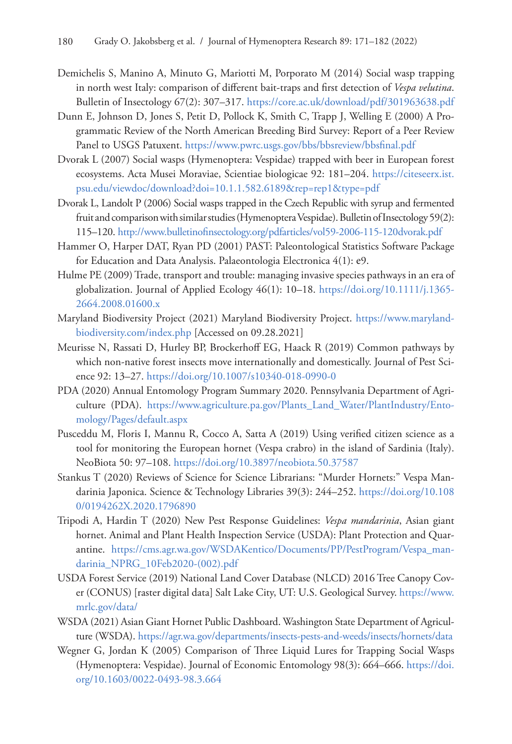- Demichelis S, Manino A, Minuto G, Mariotti M, Porporato M (2014) Social wasp trapping in north west Italy: comparison of different bait-traps and first detection of *Vespa velutina*. Bulletin of Insectology 67(2): 307–317. <https://core.ac.uk/download/pdf/301963638.pdf>
- Dunn E, Johnson D, Jones S, Petit D, Pollock K, Smith C, Trapp J, Welling E (2000) A Programmatic Review of the North American Breeding Bird Survey: Report of a Peer Review Panel to USGS Patuxent.<https://www.pwrc.usgs.gov/bbs/bbsreview/bbsfinal.pdf>
- Dvorak L (2007) Social wasps (Hymenoptera: Vespidae) trapped with beer in European forest ecosystems. Acta Musei Moraviae, Scientiae biologicae 92: 181–204. [https://citeseerx.ist.](https://citeseerx.ist.psu.edu/viewdoc/download?doi=10.1.1.582.6189&rep=rep1&type=pdf) [psu.edu/viewdoc/download?doi=10.1.1.582.6189&rep=rep1&type=pdf](https://citeseerx.ist.psu.edu/viewdoc/download?doi=10.1.1.582.6189&rep=rep1&type=pdf)
- Dvorak L, Landolt P (2006) Social wasps trapped in the Czech Republic with syrup and fermented fruit and comparison with similar studies (Hymenoptera Vespidae). Bulletin of Insectology 59(2): 115–120. <http://www.bulletinofinsectology.org/pdfarticles/vol59-2006-115-120dvorak.pdf>
- Hammer O, Harper DAT, Ryan PD (2001) PAST: Paleontological Statistics Software Package for Education and Data Analysis. Palaeontologia Electronica 4(1): е9.
- Hulme PE (2009) Trade, transport and trouble: managing invasive species pathways in an era of globalization. Journal of Applied Ecology 46(1): 10–18. [https://doi.org/10.1111/j.1365-](https://doi.org/10.1111/j.1365-2664.2008.01600.x) [2664.2008.01600.x](https://doi.org/10.1111/j.1365-2664.2008.01600.x)
- Maryland Biodiversity Project (2021) Maryland Biodiversity Project. [https://www.maryland](https://www.marylandbiodiversity.com/index.php)[biodiversity.com/index.php](https://www.marylandbiodiversity.com/index.php) [Accessed on 09.28.2021]
- Meurisse N, Rassati D, Hurley BP, Brockerhoff EG, Haack R (2019) Common pathways by which non-native forest insects move internationally and domestically. Journal of Pest Science 92: 13–27.<https://doi.org/10.1007/s10340-018-0990-0>
- PDA (2020) Annual Entomology Program Summary 2020. Pennsylvania Department of Agriculture (PDA). [https://www.agriculture.pa.gov/Plants\\_Land\\_Water/PlantIndustry/Ento](https://www.agriculture.pa.gov/Plants_Land_Water/PlantIndustry/Entomology/Pages/default.aspx)[mology/Pages/default.aspx](https://www.agriculture.pa.gov/Plants_Land_Water/PlantIndustry/Entomology/Pages/default.aspx)
- Pusceddu M, Floris I, Mannu R, Cocco A, Satta A (2019) Using verified citizen science as a tool for monitoring the European hornet (Vespa crabro) in the island of Sardinia (Italy). NeoBiota 50: 97–108. <https://doi.org/10.3897/neobiota.50.37587>
- Stankus T (2020) Reviews of Science for Science Librarians: "Murder Hornets:" Vespa Mandarinia Japonica. Science & Technology Libraries 39(3): 244–252. [https://doi.org/10.108](https://doi.org/10.1080/0194262X.2020.1796890) [0/0194262X.2020.1796890](https://doi.org/10.1080/0194262X.2020.1796890)
- Tripodi A, Hardin T (2020) New Pest Response Guidelines: *Vespa mandarinia*, Asian giant hornet. Animal and Plant Health Inspection Service (USDA): Plant Protection and Quarantine. [https://cms.agr.wa.gov/WSDAKentico/Documents/PP/PestProgram/Vespa\\_man](https://cms.agr.wa.gov/WSDAKentico/Documents/PP/PestProgram/Vespa_mandarinia_NPRG_10Feb2020-(002).pdf)[darinia\\_NPRG\\_10Feb2020-\(002\).pdf](https://cms.agr.wa.gov/WSDAKentico/Documents/PP/PestProgram/Vespa_mandarinia_NPRG_10Feb2020-(002).pdf)
- USDA Forest Service (2019) National Land Cover Database (NLCD) 2016 Tree Canopy Cover (CONUS) [raster digital data] Salt Lake City, UT: U.S. Geological Survey. [https://www.](https://www.mrlc.gov/data/) [mrlc.gov/data/](https://www.mrlc.gov/data/)
- WSDA (2021) Asian Giant Hornet Public Dashboard. Washington State Department of Agriculture (WSDA).<https://agr.wa.gov/departments/insects-pests-and-weeds/insects/hornets/data>
- Wegner G, Jordan K (2005) Comparison of Three Liquid Lures for Trapping Social Wasps (Hymenoptera: Vespidae). Journal of Economic Entomology 98(3): 664–666. [https://doi.](https://doi.org/10.1603/0022-0493-98.3.664) [org/10.1603/0022-0493-98.3.664](https://doi.org/10.1603/0022-0493-98.3.664)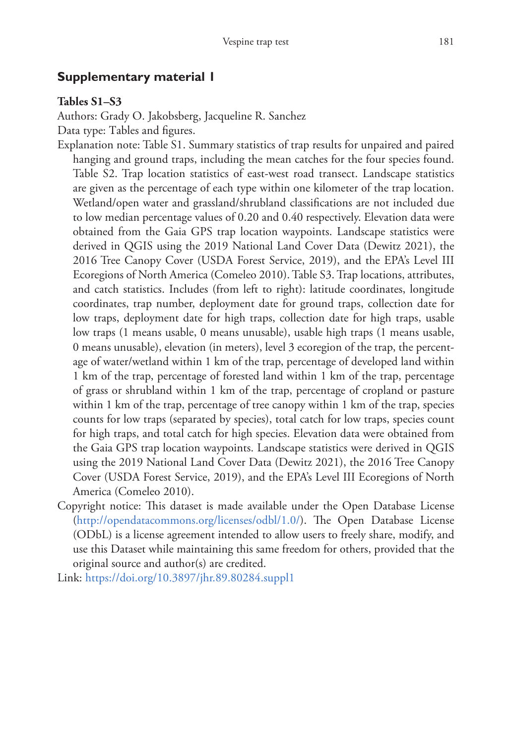# **Supplementary material 1**

### **Tables S1–S3**

Authors: Grady O. Jakobsberg, Jacqueline R. Sanchez

Data type: Тables and figures.

Explanation note: Table S1. Summary statistics of trap results for unpaired and paired hanging and ground traps, including the mean catches for the four species found. Table S2. Trap location statistics of east-west road transect. Landscape statistics are given as the percentage of each type within one kilometer of the trap location. Wetland/open water and grassland/shrubland classifications are not included due to low median percentage values of 0.20 and 0.40 respectively. Elevation data were obtained from the Gaia GPS trap location waypoints. Landscape statistics were derived in QGIS using the 2019 National Land Cover Data (Dewitz 2021), the 2016 Tree Canopy Cover (USDA Forest Service, 2019), and the EPA's Level III Ecoregions of North America (Comeleo 2010). Table S3. Trap locations, attributes, and catch statistics. Includes (from left to right): latitude coordinates, longitude coordinates, trap number, deployment date for ground traps, collection date for low traps, deployment date for high traps, collection date for high traps, usable low traps (1 means usable, 0 means unusable), usable high traps (1 means usable, 0 means unusable), elevation (in meters), level 3 ecoregion of the trap, the percentage of water/wetland within 1 km of the trap, percentage of developed land within 1 km of the trap, percentage of forested land within 1 km of the trap, percentage of grass or shrubland within 1 km of the trap, percentage of cropland or pasture within 1 km of the trap, percentage of tree canopy within 1 km of the trap, species counts for low traps (separated by species), total catch for low traps, species count for high traps, and total catch for high species. Elevation data were obtained from the Gaia GPS trap location waypoints. Landscape statistics were derived in QGIS using the 2019 National Land Cover Data (Dewitz 2021), the 2016 Tree Canopy Cover (USDA Forest Service, 2019), and the EPA's Level III Ecoregions of North America (Comeleo 2010).

- Copyright notice: This dataset is made available under the Open Database License [\(http://opendatacommons.org/licenses/odbl/1.0/](http://opendatacommons.org/licenses/odbl/1.0/)). The Open Database License (ODbL) is a license agreement intended to allow users to freely share, modify, and use this Dataset while maintaining this same freedom for others, provided that the original source and author(s) are credited.
- Link: <https://doi.org/10.3897/jhr.89.80284.suppl1>